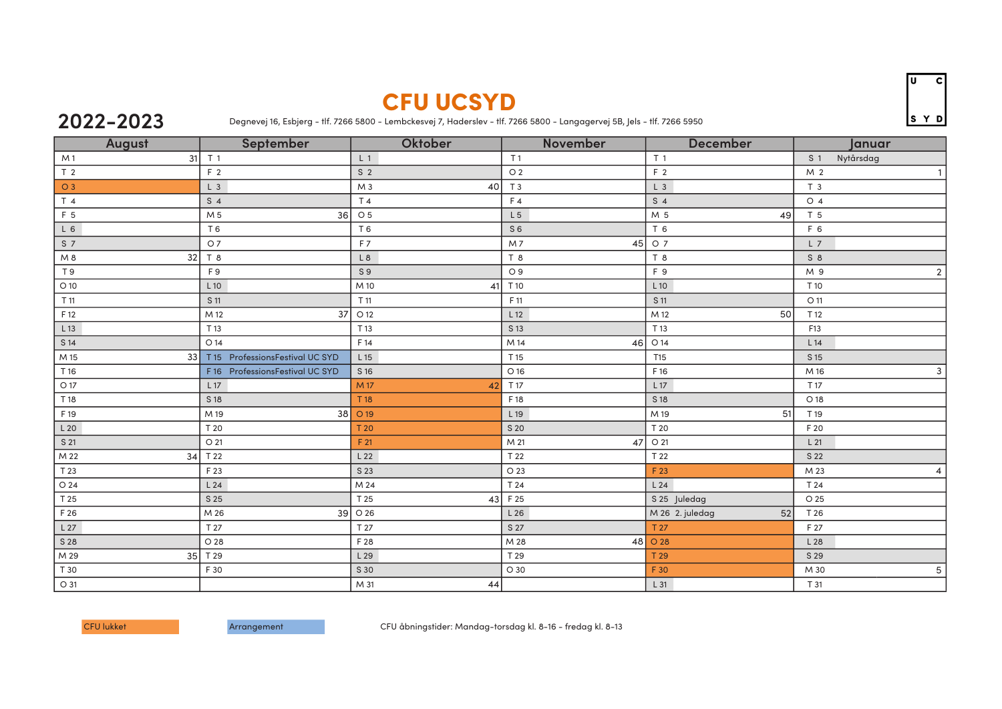## CFU UCSYD

## **2022-2023**

Degnevej 16, Esbjerg - tlf. 7266 5800 - Lembckesvej 7, Haderslev - tlf. 7266 5800 - Langagervej 5B, Jels - tlf. 7266 5950

| August               | <b>September</b>                | Oktober              | November       | <b>December</b>       | Januar                      |
|----------------------|---------------------------------|----------------------|----------------|-----------------------|-----------------------------|
| 31<br>M <sub>1</sub> | T <sub>1</sub>                  | L <sub>1</sub>       | T <sub>1</sub> | T <sub>1</sub>        | Nytårsdag<br>S <sub>1</sub> |
| T <sub>2</sub>       | F <sub>2</sub>                  | S <sub>2</sub>       | O <sub>2</sub> | F 2                   | M 2<br>1 <sup>1</sup>       |
| O 3                  | L <sub>3</sub>                  | M <sub>3</sub><br>40 | T <sub>3</sub> | $L_3$                 | T <sub>3</sub>              |
| T 4                  | S <sub>4</sub>                  | T 4                  | F4             | S <sub>4</sub>        | O <sub>4</sub>              |
| F <sub>5</sub>       | M 5<br>36                       | O <sub>5</sub>       | L <sub>5</sub> | M 5<br>49             | T 5                         |
| $L_6$                | T 6                             | T 6                  | S <sub>6</sub> | T 6                   | F 6                         |
| S <sub>7</sub>       | O <sub>7</sub>                  | F7                   | 45<br>M7       | O 7                   | $L$ 7                       |
| 32<br>M8             | T 8                             | L <sub>8</sub>       | T 8            | T <sub>8</sub>        | $S_8$                       |
| T 9                  | F <sub>9</sub>                  | S <sub>9</sub>       | O 9            | F 9                   | $\overline{2}$<br>M 9       |
| $O$ 10               | $L$ 10                          | M 10<br>41           | T 10           | L 10                  | T 10                        |
| T 11                 | S 11                            | T 11                 | F 11           | S 11                  | O 11                        |
| F 12                 | M 12<br>37                      | O 12                 | L12            | 50<br>M 12            | T 12                        |
| $L$ 13               | T 13                            | T 13                 | S 13           | T 13                  | F13                         |
| S 14                 | O 14                            | F 14                 | M 14<br>46     | O 14                  | L14                         |
| 33<br>M 15           | T 15 ProfessionsFestival UC SYD | L 15                 | T 15           | T15                   | S 15                        |
| T 16                 | F16 ProfessionsFestival UC SYD  | S 16                 | O 16           | F 16                  | M 16<br>3                   |
| $\bigcirc$ 17        | L17                             | M 17<br>42           | T 17           | L17                   | T 17                        |
| T 18                 | S 18                            | T 18                 | F 18           | S 18                  | O 18                        |
| F 19                 | 38<br>M 19                      | O 19                 | L 19           | 51<br>M 19            | T 19                        |
| L20                  | T 20                            | T 20                 | S 20           | T 20                  | F 20                        |
| S 21                 | O 21                            | F 21                 | M 21<br>47     | O 21                  | L21                         |
| M 22<br>34           | T 22                            | L <sub>22</sub>      | T 22           | T 22                  | S 22                        |
| T 23                 | F 23                            | S 23                 | O 23           | F 23                  | M 23<br>$\overline{4}$      |
| O 24                 | L24                             | M 24                 | T 24           | L24                   | T 24                        |
| T 25                 | S 25                            | T 25<br>43           | F 25           | S 25 Juledag          | O 25                        |
| F 26                 | M 26                            | 39 O 26              | L26            | M 26 2. juledag<br>52 | T 26                        |
| L27                  | T 27                            | T 27                 | S 27           | T 27                  | F 27                        |
| S 28                 | O 28                            | F 28                 | M 28           | 48 0 28               | L 28                        |
| 35<br>M 29           | T 29                            | L29                  | T 29           | T 29                  | S 29                        |
| T 30                 | F 30                            | S 30                 | O 30           | F 30                  | $\mathbf 5$<br>M 30         |
| O 31                 |                                 | M 31<br>44           |                | $L_{31}$              | T 31                        |

CFU lukket Arrangement Arrangement CFU åbningstider: Mandag-torsdag kl. 8-16 - fredag kl. 8-13

Ιū  $\overline{\mathbf{c}}$ SYD